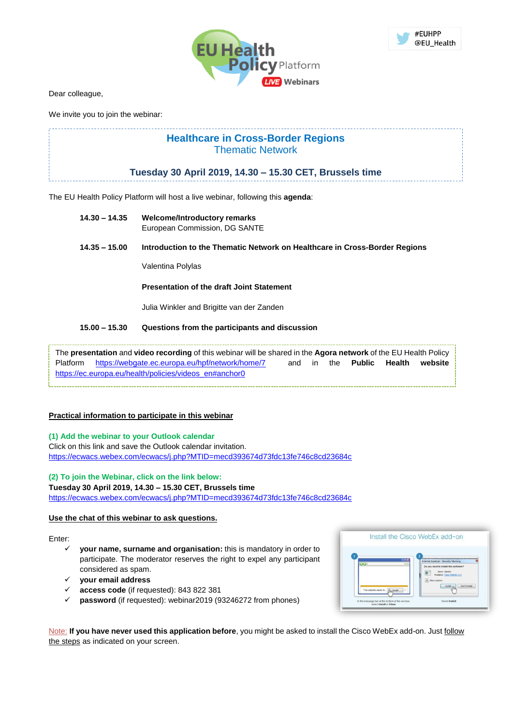



Dear colleague,

We invite you to join the webinar:

# **Healthcare in Cross-Border Regions** Thematic Network

# **Tuesday 30 April 2019, 14.30 – 15.30 CET, Brussels time**

The EU Health Policy Platform will host a live webinar, following this **agenda**:

- **14.30 – 14.35 Welcome/Introductory remarks** European Commission, DG SANTE
- **14.35 – 15.00 Introduction to the Thematic Network on Healthcare in Cross-Border Regions**

Valentina Polylas

## **Presentation of the draft Joint Statement**

Julia Winkler and Brigitte van der Zanden

## **15.00 – 15.30 Questions from the participants and discussion**

The **presentation** and **video recording** of this webinar will be shared in the **Agora network** of the EU Health Policy Platform <https://webgate.ec.europa.eu/hpf/network/home/7> and in the **Public Health website** [https://ec.europa.eu/health/policies/videos\\_en#anchor0](https://ec.europa.eu/health/policies/videos_en)

# **Practical information to participate in this webinar**

# **(1) Add the webinar to your Outlook calendar**

Click on this link and save the Outlook calendar invitation. <https://ecwacs.webex.com/ecwacs/j.php?MTID=mecd393674d73fdc13fe746c8cd23684c>

# **(2) To join the Webinar, click on the link below:**

#### **Tuesday 30 April 2019, 14.30 – 15.30 CET, Brussels time**

<https://ecwacs.webex.com/ecwacs/j.php?MTID=mecd393674d73fdc13fe746c8cd23684c>

#### **Use the chat of this webinar to ask questions.**

#### Enter:

- your name, surname and organisation: this is mandatory in order to participate. The moderator reserves the right to expel any participant considered as spam.
- ✓ **your email address**
- ✓ **access code** (if requested): 843 822 381
- password (if requested): webinar2019 (93246272 from phones)

Install the Cisco WebEx add-on

Note: **If you have never used this application before**, you might be asked to install the Cisco WebEx add-on. Just follow the steps as indicated on your screen.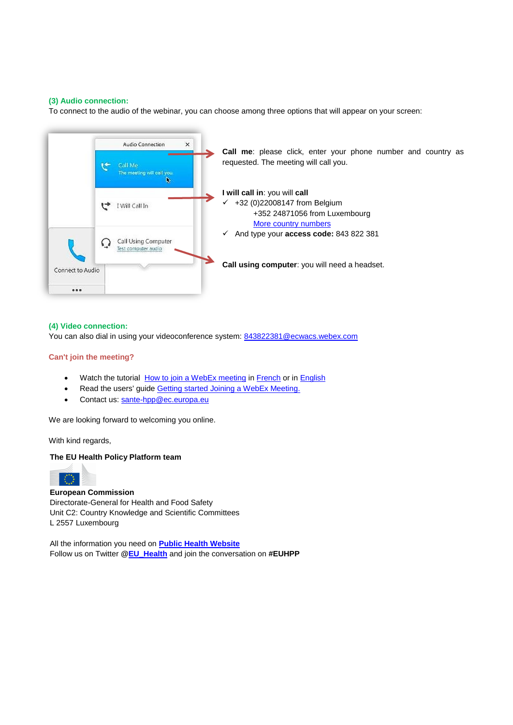## **(3) Audio connection:**

To connect to the audio of the webinar, you can choose among three options that will appear on your screen:



## **(4) Video connection:**

You can also dial in using your videoconference system: [843822381@ecwacs.webex.com](mailto:843822381@ecwacs.webex.com)

## **Can't join the meeting?**

- Watch the tutorial [How to join a WebEx meeting](https://www.webex.fr/how-to/index.html#how-to-tab-1) in [French](https://www.webex.fr/how-to/index.html#how-to-tab-2) or in [English](https://help.webex.com/docs/DOC-8406)
- Read the users' guide [Getting started Joining a WebEx Meeting.](https://help.webex.com/docs/DOC-19439)
- Contact us[: sante-hpp@ec.europa.eu](file:///C:/Users/IRCT/AppData/Local/Microsoft/Windows/INetCache/Content.Outlook/7VF20326/sante-hpp@ec.europa.eu)

We are looking forward to welcoming you online.

With kind regards,

# **The EU Health Policy Platform team**



## **European Commission**

Directorate-General for Health and Food Safety Unit C2: Country Knowledge and Scientific Committees L 2557 Luxembourg

All the information you need on **[Public Health Website](http://ec.europa.eu/health/index_en.htm)** Follow us on Twitter **[@EU\\_Health](https://twitter.com/EU_Health)** and join the conversation on **#EUHPP**